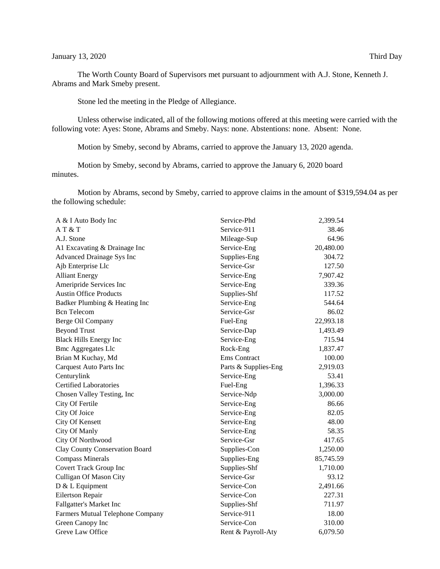The Worth County Board of Supervisors met pursuant to adjournment with A.J. Stone, Kenneth J. Abrams and Mark Smeby present.

Stone led the meeting in the Pledge of Allegiance.

Unless otherwise indicated, all of the following motions offered at this meeting were carried with the following vote: Ayes: Stone, Abrams and Smeby. Nays: none. Abstentions: none. Absent: None.

Motion by Smeby, second by Abrams, carried to approve the January 13, 2020 agenda.

Motion by Smeby, second by Abrams, carried to approve the January 6, 2020 board minutes.

Motion by Abrams, second by Smeby, carried to approve claims in the amount of \$319,594.04 as per the following schedule:

| A & I Auto Body Inc                   | Service-Phd          | 2,399.54  |
|---------------------------------------|----------------------|-----------|
| AT&T                                  | Service-911          | 38.46     |
| A.J. Stone                            | Mileage-Sup          | 64.96     |
| A1 Excavating & Drainage Inc          | Service-Eng          | 20,480.00 |
| <b>Advanced Drainage Sys Inc</b>      | Supplies-Eng         | 304.72    |
| Ajb Enterprise Llc                    | Service-Gsr          | 127.50    |
| <b>Alliant Energy</b>                 | Service-Eng          | 7,907.42  |
| Ameripride Services Inc               | Service-Eng          | 339.36    |
| <b>Austin Office Products</b>         | Supplies-Shf         | 117.52    |
| Badker Plumbing & Heating Inc         | Service-Eng          | 544.64    |
| <b>Bcn</b> Telecom                    | Service-Gsr          | 86.02     |
| Berge Oil Company                     | Fuel-Eng             | 22,993.18 |
| <b>Beyond Trust</b>                   | Service-Dap          | 1,493.49  |
| <b>Black Hills Energy Inc</b>         | Service-Eng          | 715.94    |
| <b>Bmc Aggregates Llc</b>             | Rock-Eng             | 1,837.47  |
| Brian M Kuchay, Md                    | <b>Ems</b> Contract  | 100.00    |
| <b>Carquest Auto Parts Inc</b>        | Parts & Supplies-Eng | 2,919.03  |
| Centurylink                           | Service-Eng          | 53.41     |
| <b>Certified Laboratories</b>         | Fuel-Eng             | 1,396.33  |
| Chosen Valley Testing, Inc            | Service-Ndp          | 3,000.00  |
| City Of Fertile                       | Service-Eng          | 86.66     |
| City Of Joice                         | Service-Eng          | 82.05     |
| City Of Kensett                       | Service-Eng          | 48.00     |
| City Of Manly                         | Service-Eng          | 58.35     |
| City Of Northwood                     | Service-Gsr          | 417.65    |
| <b>Clay County Conservation Board</b> | Supplies-Con         | 1,250.00  |
| <b>Compass Minerals</b>               | Supplies-Eng         | 85,745.59 |
| Covert Track Group Inc                | Supplies-Shf         | 1,710.00  |
| Culligan Of Mason City                | Service-Gsr          | 93.12     |
| D & L Equipment                       | Service-Con          | 2,491.66  |
| Eilertson Repair                      | Service-Con          | 227.31    |
| Fallgatter's Market Inc               | Supplies-Shf         | 711.97    |
| Farmers Mutual Telephone Company      | Service-911          | 18.00     |
| Green Canopy Inc                      | Service-Con          | 310.00    |
| Greve Law Office                      | Rent & Payroll-Aty   | 6,079.50  |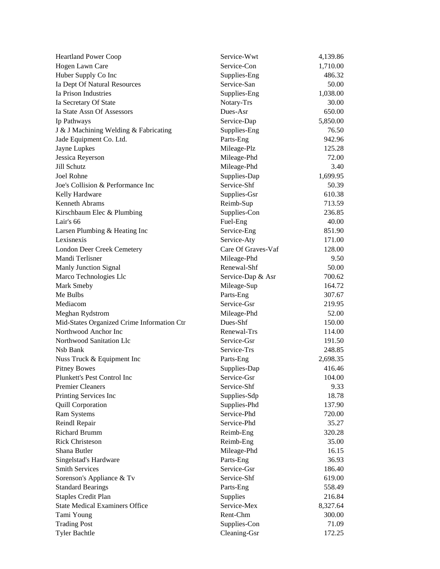| <b>Heartland Power Coop</b>                | Service-Wwt        | 4,139.86 |
|--------------------------------------------|--------------------|----------|
| Hogen Lawn Care                            | Service-Con        | 1,710.00 |
| Huber Supply Co Inc                        | Supplies-Eng       | 486.32   |
| Ia Dept Of Natural Resources               | Service-San        | 50.00    |
| Ia Prison Industries                       | Supplies-Eng       | 1,038.00 |
| Ia Secretary Of State                      | Notary-Trs         | 30.00    |
| Ia State Assn Of Assessors                 | Dues-Asr           | 650.00   |
| Ip Pathways                                | Service-Dap        | 5,850.00 |
| J & J Machining Welding & Fabricating      | Supplies-Eng       | 76.50    |
| Jade Equipment Co. Ltd.                    | Parts-Eng          | 942.96   |
| Jayne Lupkes                               | Mileage-Plz        | 125.28   |
| Jessica Reyerson                           | Mileage-Phd        | 72.00    |
| Jill Schutz                                | Mileage-Phd        | 3.40     |
| Joel Rohne                                 | Supplies-Dap       | 1,699.95 |
| Joe's Collision & Performance Inc          | Service-Shf        | 50.39    |
| Kelly Hardware                             | Supplies-Gsr       | 610.38   |
| Kenneth Abrams                             | Reimb-Sup          | 713.59   |
| Kirschbaum Elec & Plumbing                 | Supplies-Con       | 236.85   |
| Lair's 66                                  | Fuel-Eng           | 40.00    |
| Larsen Plumbing & Heating Inc              | Service-Eng        | 851.90   |
| Lexisnexis                                 | Service-Aty        | 171.00   |
| London Deer Creek Cemetery                 | Care Of Graves-Vaf | 128.00   |
| Mandi Terlisner                            | Mileage-Phd        | 9.50     |
| Manly Junction Signal                      | Renewal-Shf        | 50.00    |
| Marco Technologies Llc                     | Service-Dap & Asr  | 700.62   |
| Mark Smeby                                 | Mileage-Sup        | 164.72   |
| Me Bulbs                                   | Parts-Eng          | 307.67   |
| Mediacom                                   | Service-Gsr        | 219.95   |
| Meghan Rydstrom                            | Mileage-Phd        | 52.00    |
| Mid-States Organized Crime Information Ctr | Dues-Shf           | 150.00   |
| Northwood Anchor Inc                       | Renewal-Trs        | 114.00   |
| Northwood Sanitation Llc                   | Service-Gsr        | 191.50   |
| Nsb Bank                                   | Service-Trs        | 248.85   |
| Nuss Truck & Equipment Inc                 | Parts-Eng          | 2,698.35 |
| <b>Pitney Bowes</b>                        | Supplies-Dap       | 416.46   |
| Plunkett's Pest Control Inc                | Service-Gsr        | 104.00   |
| <b>Premier Cleaners</b>                    | Service-Shf        | 9.33     |
| Printing Services Inc                      | Supplies-Sdp       | 18.78    |
| <b>Quill Corporation</b>                   | Supplies-Phd       | 137.90   |
| Ram Systems                                | Service-Phd        | 720.00   |
| Reindl Repair                              | Service-Phd        | 35.27    |
| <b>Richard Brumm</b>                       | Reimb-Eng          | 320.28   |
| <b>Rick Christeson</b>                     | Reimb-Eng          | 35.00    |
| Shana Butler                               | Mileage-Phd        | 16.15    |
| Singelstad's Hardware                      | Parts-Eng          | 36.93    |
| <b>Smith Services</b>                      | Service-Gsr        | 186.40   |
| Sorenson's Appliance & Tv                  | Service-Shf        | 619.00   |
| <b>Standard Bearings</b>                   | Parts-Eng          | 558.49   |
| <b>Staples Credit Plan</b>                 | Supplies           | 216.84   |
| <b>State Medical Examiners Office</b>      | Service-Mex        | 8,327.64 |
| Tami Young                                 | Rent-Chm           | 300.00   |
| <b>Trading Post</b>                        | Supplies-Con       | 71.09    |
| <b>Tyler Bachtle</b>                       | Cleaning-Gsr       | 172.25   |
|                                            |                    |          |